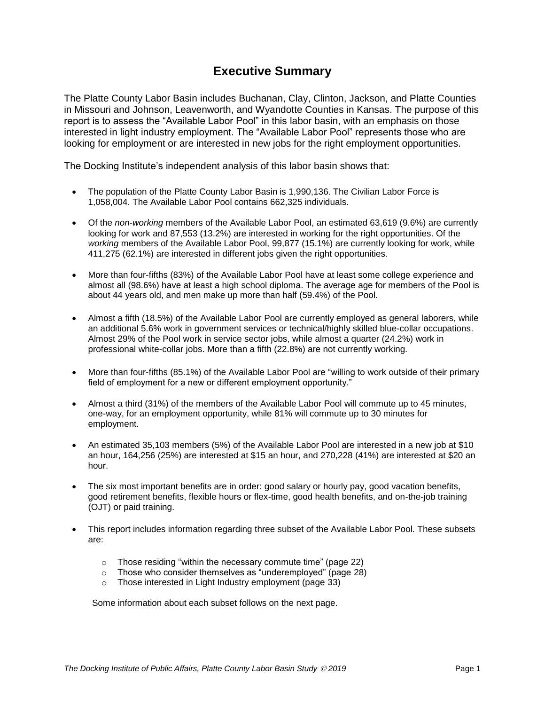## **Executive Summary**

The Platte County Labor Basin includes Buchanan, Clay, Clinton, Jackson, and Platte Counties in Missouri and Johnson, Leavenworth, and Wyandotte Counties in Kansas. The purpose of this report is to assess the "Available Labor Pool" in this labor basin, with an emphasis on those interested in light industry employment. The "Available Labor Pool" represents those who are looking for employment or are interested in new jobs for the right employment opportunities.

The Docking Institute's independent analysis of this labor basin shows that:

- The population of the Platte County Labor Basin is 1,990,136. The Civilian Labor Force is 1,058,004. The Available Labor Pool contains 662,325 individuals.
- Of the *non-working* members of the Available Labor Pool, an estimated 63,619 (9.6%) are currently looking for work and 87,553 (13.2%) are interested in working for the right opportunities. Of the *working* members of the Available Labor Pool, 99,877 (15.1%) are currently looking for work, while 411,275 (62.1%) are interested in different jobs given the right opportunities.
- More than four-fifths (83%) of the Available Labor Pool have at least some college experience and almost all (98.6%) have at least a high school diploma. The average age for members of the Pool is about 44 years old, and men make up more than half (59.4%) of the Pool.
- Almost a fifth (18.5%) of the Available Labor Pool are currently employed as general laborers, while an additional 5.6% work in government services or technical/highly skilled blue-collar occupations. Almost 29% of the Pool work in service sector jobs, while almost a quarter (24.2%) work in professional white-collar jobs. More than a fifth (22.8%) are not currently working.
- More than four-fifths (85.1%) of the Available Labor Pool are "willing to work outside of their primary field of employment for a new or different employment opportunity."
- Almost a third (31%) of the members of the Available Labor Pool will commute up to 45 minutes, one-way, for an employment opportunity, while 81% will commute up to 30 minutes for employment.
- An estimated 35,103 members (5%) of the Available Labor Pool are interested in a new job at \$10 an hour, 164,256 (25%) are interested at \$15 an hour, and 270,228 (41%) are interested at \$20 an hour.
- The six most important benefits are in order: good salary or hourly pay, good vacation benefits, good retirement benefits, flexible hours or flex-time, good health benefits, and on-the-job training (OJT) or paid training.
- This report includes information regarding three subset of the Available Labor Pool. These subsets are:
	- o Those residing "within the necessary commute time" (page 22)
	- o Those who consider themselves as "underemployed" (page 28)
	- o Those interested in Light Industry employment (page 33)

Some information about each subset follows on the next page.